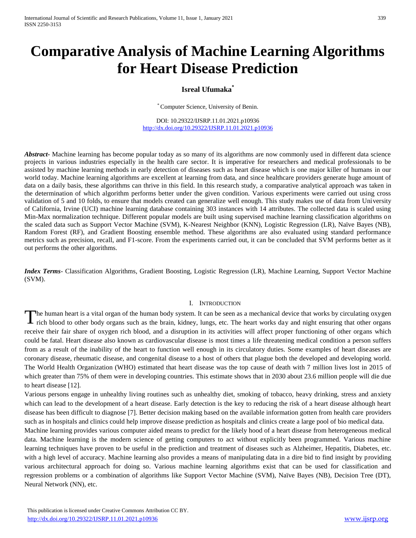# **Comparative Analysis of Machine Learning Algorithms for Heart Disease Prediction**

# **Isreal Ufumaka\***

\* Computer Science, University of Benin.

DOI: 10.29322/IJSRP.11.01.2021.p10936 <http://dx.doi.org/10.29322/IJSRP.11.01.2021.p10936>

*Abstract* Machine learning has become popular today as so many of its algorithms are now commonly used in different data science projects in various industries especially in the health care sector. It is imperative for researchers and medical professionals to be assisted by machine learning methods in early detection of diseases such as heart disease which is one major killer of humans in our world today. Machine learning algorithms are excellent at learning from data, and since healthcare providers generate huge amount of data on a daily basis, these algorithms can thrive in this field. In this research study, a comparative analytical approach was taken in the determination of which algorithm performs better under the given condition. Various experiments were carried out using cross validation of 5 and 10 folds, to ensure that models created can generalize well enough. This study makes use of data from University of California, Irvine (UCI) machine learning database containing 303 instances with 14 attributes. The collected data is scaled using Min-Max normalization technique. Different popular models are built using supervised machine learning classification algorithms on the scaled data such as Support Vector Machine (SVM), K-Nearest Neighbor (KNN), Logistic Regression (LR), Naïve Bayes (NB), Random Forest (RF), and Gradient Boosting ensemble method. These algorithms are also evaluated using standard performance metrics such as precision, recall, and F1-score. From the experiments carried out, it can be concluded that SVM performs better as it out performs the other algorithms.

*Index Terms*- Classification Algorithms, Gradient Boosting, Logistic Regression (LR), Machine Learning, Support Vector Machine (SVM).

#### I. INTRODUCTION

The human heart is a vital organ of the human body system. It can be seen as a mechanical device that works by circulating oxygen rich blood to other body organs such as the brain, kidney, lungs, etc. The heart works day a rich blood to other body organs such as the brain, kidney, lungs, etc. The heart works day and night ensuring that other organs receive their fair share of oxygen rich blood, and a disruption in its activities will affect proper functioning of other organs which could be fatal. Heart disease also known as cardiovascular disease is most times a life threatening medical condition a person suffers from as a result of the inability of the heart to function well enough in its circulatory duties. Some examples of heart diseases are coronary disease, rheumatic disease, and congenital disease to a host of others that plague both the developed and developing world. The World Health Organization (WHO) estimated that heart disease was the top cause of death with 7 million lives lost in 2015 of which greater than 75% of them were in developing countries. This estimate shows that in 2030 about 23.6 million people will die due to heart disease [12].

Various persons engage in unhealthy living routines such as unhealthy diet, smoking of tobacco, heavy drinking, stress and anxiety which can lead to the development of a heart disease. Early detection is the key to reducing the risk of a heart disease although heart disease has been difficult to diagnose [7]. Better decision making based on the available information gotten from health care providers such as in hospitals and clinics could help improve disease prediction as hospitals and clinics create a large pool of bio medical data.

Machine learning provides various computer aided means to predict for the likely hood of a heart disease from heterogeneous medical data. Machine learning is the modern science of getting computers to act without explicitly been programmed. Various machine learning techniques have proven to be useful in the prediction and treatment of diseases such as Alzheimer, Hepatitis, Diabetes, etc. with a high level of accuracy. Machine learning also provides a means of manipulating data in a dire bid to find insight by providing various architectural approach for doing so. Various machine learning algorithms exist that can be used for classification and regression problems or a combination of algorithms like Support Vector Machine (SVM), Naïve Bayes (NB), Decision Tree (DT), Neural Network (NN), etc.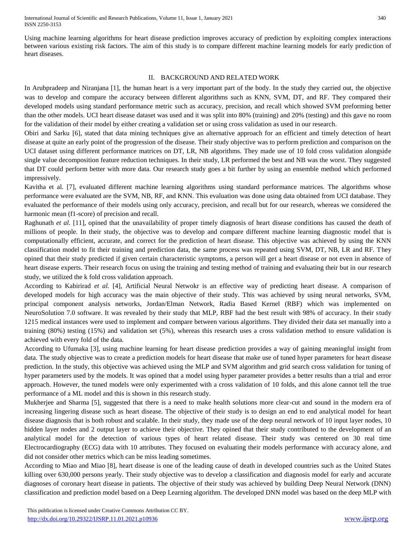International Journal of Scientific and Research Publications, Volume 11, Issue 1, January 2021 340 ISSN 2250-3153

Using machine learning algorithms for heart disease prediction improves accuracy of prediction by exploiting complex interactions between various existing risk factors. The aim of this study is to compare different machine learning models for early prediction of heart diseases.

# II. BACKGROUND AND RELATED WORK

In Arubpradeep and Niranjana [1], the human heart is a very important part of the body. In the study they carried out, the objective was to develop and compare the accuracy between different algorithms such as KNN, SVM, DT, and RF. They compared their developed models using standard performance metric such as accuracy, precision, and recall which showed SVM preforming better than the other models. UCI heart disease dataset was used and it was split into 80% (training) and 20% (testing) and this gave no room for the validation of their model by either creating a validation set or using cross validation as used in our research.

Obiri and Sarku [6], stated that data mining techniques give an alternative approach for an efficient and timely detection of heart disease at quite an early point of the progression of the disease. Their study objective was to perform prediction and comparison on the UCI dataset using different performance matrices on DT, LR, NB algorithms. They made use of 10 fold cross validation alongside single value decomposition feature reduction techniques. In their study, LR performed the best and NB was the worst. They suggested that DT could perform better with more data. Our research study goes a bit further by using an ensemble method which performed impressively.

Kavitha et al. [7], evaluated different machine learning algorithms using standard performance matrices. The algorithms whose performance were evaluated are the SVM, NB, RF, and KNN. This evaluation was done using data obtained from UCI database. They evaluated the performance of their models using only accuracy, precision, and recall but for our research, whereas we considered the harmonic mean (f1-score) of precision and recall.

Raghunath *et al.* [11], opined that the unavailability of proper timely diagnosis of heart disease conditions has caused the death of millions of people. In their study, the objective was to develop and compare different machine learning diagnostic model that is computationally efficient, accurate, and correct for the prediction of heart disease. This objective was achieved by using the KNN classification model to fit their training and prediction data, the same process was repeated using SVM, DT, NB, LR and RF. They opined that their study predicted if given certain characteristic symptoms, a person will get a heart disease or not even in absence of heart disease experts. Their research focus on using the training and testing method of training and evaluating their but in our research study, we utilized the k fold cross validation approach.

According to Kabirirad *et al.* [4], Artificial Neural Netwokr is an effective way of predicting heart disease. A comparison of developed models for high accuracy was the main objective of their study. This was achieved by using neural networks, SVM, principal component analysis networks, Jordan/Elman Network, Radia Based Kernel (RBF) which was implemented on NeuroSolution 7.0 software. It was revealed by their study that MLP, RBF had the best result with 98% of accuracy. In their study 1215 medical instances were used to implement and compare between various algorithms. They divided their data set manually into a training (80%) testing (15%) and validation set (5%), whereas this research uses a cross validation method to ensure validation is achieved with every fold of the data.

According to Ufumaka [3], using machine learning for heart disease prediction provides a way of gaining meaningful insight from data. The study objective was to create a prediction models for heart disease that make use of tuned hyper parameters for heart disease prediction. In the study, this objective was achieved using the MLP and SVM algorithm and grid search cross validation for tuning of hyper parameters used by the models. It was opined that a model using hyper parameter provides a better results than a trial and error approach. However, the tuned models were only experimented with a cross validation of 10 folds, and this alone cannot tell the true performance of a ML model and this is shown in this research study.

Mukherjee and Sharma [5], suggested that there is a need to make health solutions more clear-cut and sound in the modern era of increasing lingering disease such as heart disease. The objective of their study is to design an end to end analytical model for heart disease diagnosis that is both robust and scalable. In their study, they made use of the deep neural network of 10 input layer nodes, 10 hidden layer nodes and 2 output layer to achieve their objective. They opined that their study contributed to the development of an analytical model for the detection of various types of heart related disease. Their study was centered on 30 real time Electrocardiography (ECG) data with 10 attributes. They focused on evaluating their models performance with accuracy alone, and did not consider other metrics which can be miss leading sometimes.

According to Miao and Miao [8], heart disease is one of the leading cause of death in developed countries such as the United States killing over 630,000 persons yearly. Their study objective was to develop a classification and diagnosis model for early and accurate diagnoses of coronary heart disease in patients. The objective of their study was achieved by building Deep Neural Network (DNN) classification and prediction model based on a Deep Learning algorithm. The developed DNN model was based on the deep MLP with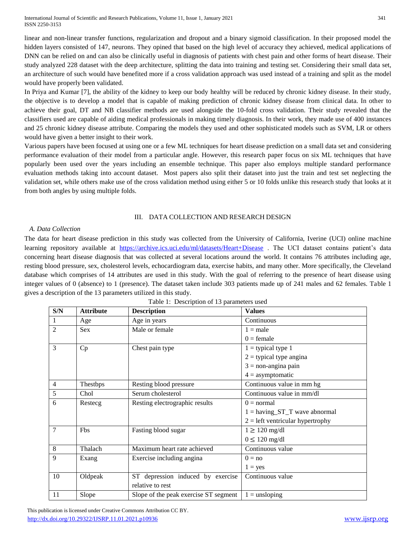International Journal of Scientific and Research Publications, Volume 11, Issue 1, January 2021 341 ISSN 2250-3153

linear and non-linear transfer functions, regularization and dropout and a binary sigmoid classification. In their proposed model the hidden layers consisted of 147, neurons. They opined that based on the high level of accuracy they achieved, medical applications of DNN can be relied on and can also be clinically useful in diagnosis of patients with chest pain and other forms of heart disease. Their study analyzed 228 dataset with the deep architecture, splitting the data into training and testing set. Considering their small data set, an architecture of such would have benefited more if a cross validation approach was used instead of a training and split as the model would have properly been validated.

In Priya and Kumar [7], the ability of the kidney to keep our body healthy will be reduced by chronic kidney disease. In their study, the objective is to develop a model that is capable of making prediction of chronic kidney disease from clinical data. In other to achieve their goal, DT and NB classifier methods are used alongside the 10-fold cross validation. Their study revealed that the classifiers used are capable of aiding medical professionals in making timely diagnosis. In their work, they made use of 400 instances and 25 chronic kidney disease attribute. Comparing the models they used and other sophisticated models such as SVM, LR or others would have given a better insight to their work.

Various papers have been focused at using one or a few ML techniques for heart disease prediction on a small data set and considering performance evaluation of their model from a particular angle. However, this research paper focus on six ML techniques that have popularly been used over the years including an ensemble technique. This paper also employs multiple standard performance evaluation methods taking into account dataset. Most papers also split their dataset into just the train and test set neglecting the validation set, while others make use of the cross validation method using either 5 or 10 folds unlike this research study that looks at it from both angles by using multiple folds.

## III. DATA COLLECTION AND RESEARCH DESIGN

## *A. Data Collection*

The data for heart disease prediction in this study was collected from the University of California, Iverine (UCI) online machine learning repository available at <https://archive.ics.uci.edu/ml/datasets/Heart+Disease> . The UCI dataset contains patient's data concerning heart disease diagnosis that was collected at several locations around the world. It contains 76 attributes including age, resting blood pressure, sex, cholesterol levels, echocardiogram data, exercise habits, and many other. More specifically, the Cleveland database which comprises of 14 attributes are used in this study. With the goal of referring to the presence of heart disease using integer values of 0 (absence) to 1 (presence). The dataset taken include 303 patients made up of 241 males and 62 females. Table 1 gives a description of the 13 parameters utilized in this study.

| S/N            | <b>Attribute</b> | <b>Description</b>                    | <b>Values</b>                      |  |
|----------------|------------------|---------------------------------------|------------------------------------|--|
|                | Age              | Age in years                          | Continuous                         |  |
| 2              | <b>Sex</b>       | Male or female<br>$1 = male$          |                                    |  |
|                |                  |                                       | $0 =$ female                       |  |
| $\overline{3}$ | Cp               | Chest pain type                       | $1 =$ typical type 1               |  |
|                |                  |                                       | $2 =$ typical type angina          |  |
|                |                  |                                       | $3 =$ non-angina pain              |  |
|                |                  |                                       | $4 =$ asymptomatic                 |  |
| $\overline{4}$ | Thestbps         | Resting blood pressure                | Continuous value in mm hg          |  |
| 5              | Chol             | Serum cholesterol                     | Continuous value in mm/dl          |  |
| 6              | Restecg          | Resting electrographic results        | $0 = normal$                       |  |
|                |                  |                                       | $1 =$ having ST_T wave abnormal    |  |
|                |                  |                                       | $2 = left$ ventricular hypertrophy |  |
| $\overline{7}$ | Fbs              | Fasting blood sugar                   | $1 \geq 120$ mg/dl                 |  |
|                |                  |                                       | $0 \leq 120$ mg/dl                 |  |
| 8              | Thalach          | Maximum heart rate achieved           | Continuous value                   |  |
| 9              | Exang            | Exercise including angina             | $0 = no$                           |  |
|                |                  |                                       | $1 = yes$                          |  |
| 10             | Oldpeak          | ST depression induced by exercise     | Continuous value                   |  |
|                |                  | relative to rest                      |                                    |  |
| 11             | Slope            | Slope of the peak exercise ST segment | $1 =$ unsloping                    |  |

Table 1: Description of 13 parameters used

 This publication is licensed under Creative Commons Attribution CC BY. <http://dx.doi.org/10.29322/IJSRP.11.01.2021.p10936> [www.ijsrp.org](http://ijsrp.org/)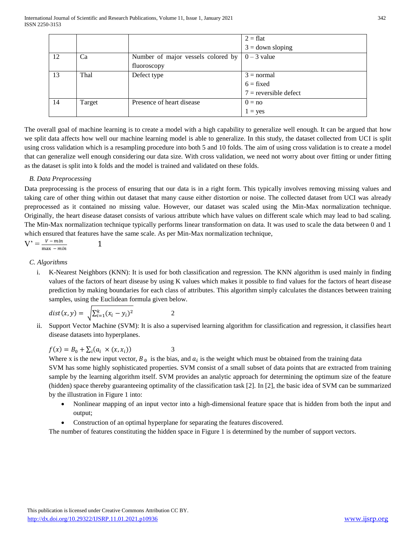|    |        |                                    | $2 = flat$              |
|----|--------|------------------------------------|-------------------------|
|    |        |                                    | $3 =$ down sloping      |
| 12 | Ca     | Number of major vessels colored by | $0 - 3$ value           |
|    |        | fluoroscopy                        |                         |
| 13 | Thal   | Defect type                        | $3 = normal$            |
|    |        |                                    | $6 = fixed$             |
|    |        |                                    | $7$ = reversible defect |
| 14 | Target | Presence of heart disease          | $0 = no$                |
|    |        |                                    | $1 = yes$               |

The overall goal of machine learning is to create a model with a high capability to generalize well enough. It can be argued that how we split data affects how well our machine learning model is able to generalize. In this study, the dataset collected from UCI is split using cross validation which is a resampling procedure into both 5 and 10 folds. The aim of using cross validation is to create a model that can generalize well enough considering our data size. With cross validation, we need not worry about over fitting or under fitting as the dataset is split into k folds and the model is trained and validated on these folds.

# *B. Data Preprocessing*

Data preprocessing is the process of ensuring that our data is in a right form. This typically involves removing missing values and taking care of other thing within out dataset that many cause either distortion or noise. The collected dataset from UCI was already preprocessed as it contained no missing value. However, our dataset was scaled using the Min-Max normalization technique. Originally, the heart disease dataset consists of various attribute which have values on different scale which may lead to bad scaling. The Min-Max normalization technique typically performs linear transformation on data. It was used to scale the data between 0 and 1 which ensured that features have the same scale. As per Min-Max normalization technique,

$$
V' = \frac{V - min}{\max - min}
$$

# *C. Algorithms*

i. K-Nearest Neighbors (KNN): It is used for both classification and regression. The KNN algorithm is used mainly in finding values of the factors of heart disease by using K values which makes it possible to find values for the factors of heart disease prediction by making boundaries for each class of attributes. This algorithm simply calculates the distances between training samples, using the Euclidean formula given below.

$$
dist(x, y) = \sqrt{\sum_{i=1}^{k} (x_i - y_i)^2}
$$
 2

1

ii. Support Vector Machine (SVM): It is also a supervised learning algorithm for classification and regression, it classifies heart disease datasets into hyperplanes.

$$
f(x) = B_0 + \sum_i (a_i \times (x, x_i))
$$
 3

Where x is the new input vector,  $B_0$  is the bias, and  $a_i$  is the weight which must be obtained from the training data SVM has some highly sophisticated properties. SVM consist of a small subset of data points that are extracted from training sample by the learning algorithm itself. SVM provides an analytic approach for determining the optimum size of the feature (hidden) space thereby guaranteeing optimality of the classification task [2]. In [2], the basic idea of SVM can be summarized by the illustration in Figure 1 into:

- Nonlinear mapping of an input vector into a high-dimensional feature space that is hidden from both the input and output;
- Construction of an optimal hyperplane for separating the features discovered.

The number of features constituting the hidden space in Figure 1 is determined by the number of support vectors.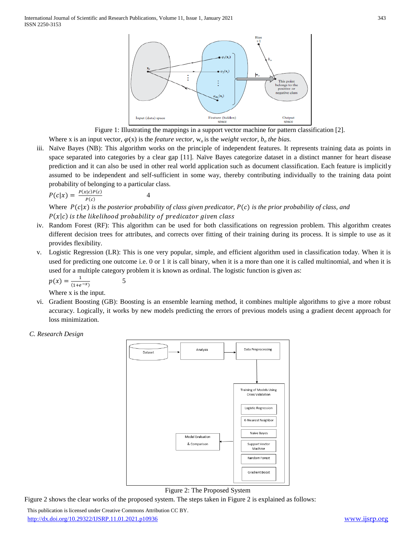

Figure 1: Illustrating the mappings in a support vector machine for pattern classification [2]. Where x is an input vector,  $\varphi(x)$  is the *feature vector*,  $w_o$  is the *weight vector, b<sub>o</sub> the bias.* 

iii. Naïve Bayes (NB): This algorithm works on the principle of independent features. It represents training data as points in space separated into categories by a clear gap [11]. Naïve Bayes categorize dataset in a distinct manner for heart disease prediction and it can also be used in other real world application such as document classification. Each feature is implicitly assumed to be independent and self-sufficient in some way, thereby contributing individually to the training data point probability of belonging to a particular class.

$$
P(c|x) = \frac{P(x|c)P(c)}{P(c)}
$$

4

5

Where  $P(c|x)$  is the posterior probability of class given predicator,  $P(c)$  is the prior probability of class, and  $P(x|c)$  is the likelihood probability of predicator given class

- iv. Random Forest (RF): This algorithm can be used for both classifications on regression problem. This algorithm creates different decision trees for attributes, and corrects over fitting of their training during its process. It is simple to use as it provides flexibility.
- v. Logistic Regression (LR): This is one very popular, simple, and efficient algorithm used in classification today. When it is used for predicting one outcome i.e. 0 or 1 it is call binary, when it is a more than one it is called multinomial, and when it is used for a multiple category problem it is known as ordinal. The logistic function is given as:

$$
p(x) = \frac{1}{(1+e^{-x})}
$$

Where x is the input.

vi. Gradient Boosting (GB): Boosting is an ensemble learning method, it combines multiple algorithms to give a more robust accuracy. Logically, it works by new models predicting the errors of previous models using a gradient decent approach for loss minimization.

*C. Research Design*



# Figure 2: The Proposed System

Figure 2 shows the clear works of the proposed system. The steps taken in Figure 2 is explained as follows:

 This publication is licensed under Creative Commons Attribution CC BY. <http://dx.doi.org/10.29322/IJSRP.11.01.2021.p10936> [www.ijsrp.org](http://ijsrp.org/)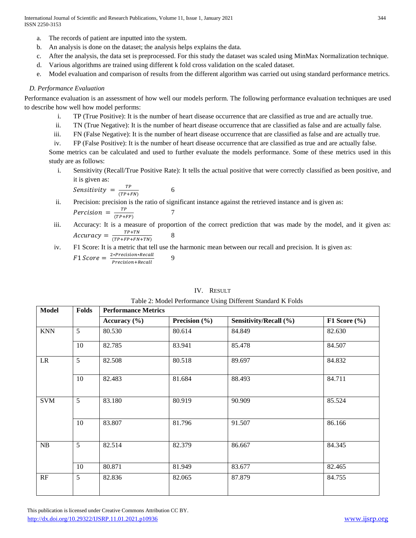International Journal of Scientific and Research Publications, Volume 11, Issue 1, January 2021 344 ISSN 2250-3153

- a. The records of patient are inputted into the system.
- b. An analysis is done on the dataset; the analysis helps explains the data.
- c. After the analysis, the data set is preprocessed. For this study the dataset was scaled using MinMax Normalization technique.
- d. Various algorithms are trained using different k fold cross validation on the scaled dataset.
- e. Model evaluation and comparison of results from the different algorithm was carried out using standard performance metrics.

### *D. Performance Evaluation*

Performance evaluation is an assessment of how well our models perform. The following performance evaluation techniques are used to describe how well how model performs:

- i. TP (True Positive): It is the number of heart disease occurrence that are classified as true and are actually true.
- ii. TN (True Negative): It is the number of heart disease occurrence that are classified as false and are actually false.
- iii. FN (False Negative): It is the number of heart disease occurrence that are classified as false and are actually true.
- iv. FP (False Positive): It is the number of heart disease occurrence that are classified as true and are actually false.

Some metrics can be calculated and used to further evaluate the models performance. Some of these metrics used in this study are as follows:

i. Sensitivity (Recall/True Positive Rate): It tells the actual positive that were correctly classified as been positive, and it is given as:

$$
Sensitivity = \frac{TP}{(TP+FN)}
$$

ii. Precision: precision is the ratio of significant instance against the retrieved instance and is given as: Percision  $=\frac{TP}{(TP+1)}$  $(TP+FP)$ 7

6

iii. Accuracy: It is a measure of proportion of the correct prediction that was made by the model, and it given as:  $Accuracy = \frac{TP+TN}{TP+TN}$  $(TP+FP+FN+TN)$ 8

iv. F1 Score: It is a metric that tell use the harmonic mean between our recall and precision. It is given as:  $F1$  Score =  $\frac{2*Precision*Recall}{P_{\text{max}}(x) + P_{\text{max}}(x)}$ Precision+Recall 9

| <b>Model</b> | <b>Folds</b> | Tuble 2. Moder I cribinance Come Different building is I olds<br><b>Performance Metrics</b> |                   |                        |                  |
|--------------|--------------|---------------------------------------------------------------------------------------------|-------------------|------------------------|------------------|
|              |              | Accuracy $(\% )$                                                                            | Precision $(\% )$ | Sensitivity/Recall (%) | F1 Score $(\% )$ |
| <b>KNN</b>   | 5            | 80.530                                                                                      | 80.614            | 84.849                 | 82.630           |
|              | 10           | 82.785                                                                                      | 83.941            | 85.478                 | 84.507           |
| LR           | 5            | 82.508                                                                                      | 80.518            | 89.697                 | 84.832           |
|              | 10           | 82.483                                                                                      | 81.684            | 88.493                 | 84.711           |
| <b>SVM</b>   | 5            | 83.180                                                                                      | 80.919            | 90.909                 | 85.524           |
|              | 10           | 83.807                                                                                      | 81.796            | 91.507                 | 86.166           |
| NB           | 5            | 82.514                                                                                      | 82.379            | 86.667                 | 84.345           |
|              | 10           | 80.871                                                                                      | 81.949            | 83.677                 | 82.465           |
| RF           | 5            | 82.836                                                                                      | 82.065            | 87.879                 | 84.755           |
|              |              |                                                                                             |                   |                        |                  |

## IV. RESULT

Table 2: Model Performance Using Different Standard K Folds

 This publication is licensed under Creative Commons Attribution CC BY. <http://dx.doi.org/10.29322/IJSRP.11.01.2021.p10936> [www.ijsrp.org](http://ijsrp.org/)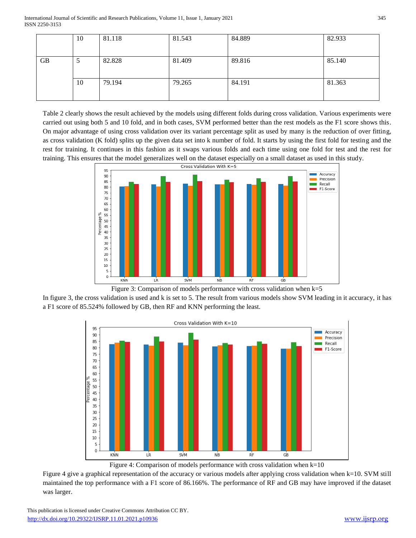International Journal of Scientific and Research Publications, Volume 11, Issue 1, January 2021 345 ISSN 2250-3153

|           | 10 | 81.118 | 81.543 | 84.889 | 82.933 |
|-----------|----|--------|--------|--------|--------|
|           |    |        |        |        |        |
| <b>GB</b> | J  | 82.828 | 81.409 | 89.816 | 85.140 |
|           |    |        |        |        |        |
|           | 10 | 79.194 | 79.265 | 84.191 | 81.363 |
|           |    |        |        |        |        |

Table 2 clearly shows the result achieved by the models using different folds during cross validation. Various experiments were carried out using both 5 and 10 fold, and in both cases, SVM performed better than the rest models as the F1 score shows this. On major advantage of using cross validation over its variant percentage split as used by many is the reduction of over fitting, as cross validation (K fold) splits up the given data set into k number of fold. It starts by using the first fold for testing and the rest for training. It continues in this fashion as it swaps various folds and each time using one fold for test and the rest for training. This ensures that the model generalizes well on the dataset especially on a small dataset as used in this study.



Figure 3: Comparison of models performance with cross validation when  $k=5$ 

In figure 3, the cross validation is used and k is set to 5. The result from various models show SVM leading in it accuracy, it has a F1 score of 85.524% followed by GB, then RF and KNN performing the least.



Figure 4: Comparison of models performance with cross validation when  $k=10$ 

Figure 4 give a graphical representation of the accuracy or various models after applying cross validation when k=10. SVM still maintained the top performance with a F1 score of 86.166%. The performance of RF and GB may have improved if the dataset was larger.